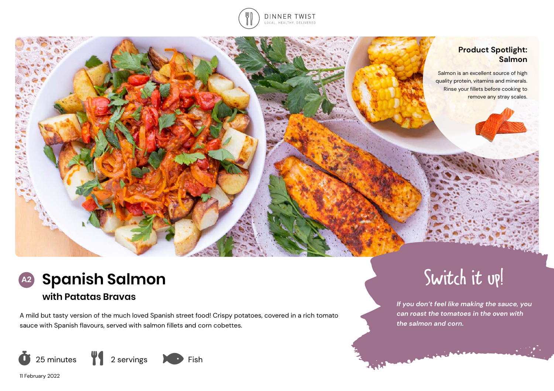



Switch it up!

*If you don't feel like making the sauce, you can roast the tomatoes in the oven with* 

*the salmon and corn.* 

فعلويته



# **with Patatas Bravas**

A mild but tasty version of the much loved Spanish street food! Crispy potatoes, covered in a rich tomato sauce with Spanish flavours, served with salmon fillets and corn cobettes.



11 February 2022